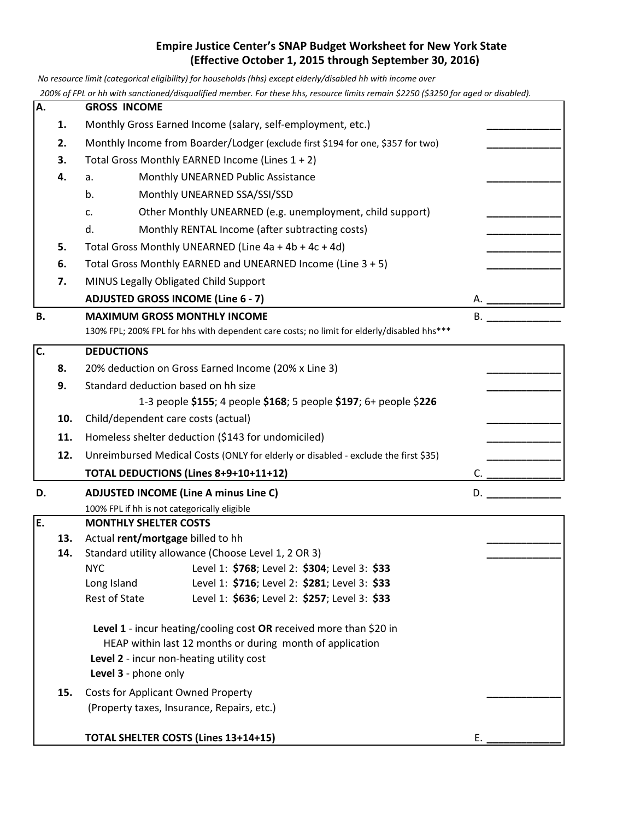## **Empire Justice Center's SNAP Budget Worksheet for New York State (Effective October 1, 2015 through September 30, 2016)**

 *No resource limit (categorical eligibility) for households (hhs) except elderly/disabled hh with income over 200% of FPL or hh with sanctioned/disqualified member. For these hhs, resource limits remain \$2250 (\$3250 for aged or disabled).* 

| A.        |     | 200% of FPL of hil with sanctionea/aisqualified member. For these hiis, resource limits remain \$2250 (\$3250 for agea or aisablea).<br><b>GROSS INCOME</b> |                                                                                                |    |  |  |
|-----------|-----|-------------------------------------------------------------------------------------------------------------------------------------------------------------|------------------------------------------------------------------------------------------------|----|--|--|
|           |     | Monthly Gross Earned Income (salary, self-employment, etc.)                                                                                                 |                                                                                                |    |  |  |
|           | 1.  |                                                                                                                                                             |                                                                                                |    |  |  |
|           | 2.  | Monthly Income from Boarder/Lodger (exclude first \$194 for one, \$357 for two)                                                                             |                                                                                                |    |  |  |
|           | 3.  | Total Gross Monthly EARNED Income (Lines 1 + 2)                                                                                                             |                                                                                                |    |  |  |
|           | 4.  | Monthly UNEARNED Public Assistance<br>a.<br>Monthly UNEARNED SSA/SSI/SSD                                                                                    |                                                                                                |    |  |  |
|           |     | b.                                                                                                                                                          |                                                                                                |    |  |  |
|           |     | Other Monthly UNEARNED (e.g. unemployment, child support)<br>c.                                                                                             |                                                                                                |    |  |  |
|           |     | d.<br>Monthly RENTAL Income (after subtracting costs)                                                                                                       |                                                                                                |    |  |  |
|           | 5.  | Total Gross Monthly UNEARNED (Line 4a + 4b + 4c + 4d)                                                                                                       |                                                                                                |    |  |  |
|           | 6.  | Total Gross Monthly EARNED and UNEARNED Income (Line 3 + 5)                                                                                                 |                                                                                                |    |  |  |
|           | 7.  | MINUS Legally Obligated Child Support                                                                                                                       |                                                                                                |    |  |  |
|           |     | <b>ADJUSTED GROSS INCOME (Line 6 - 7)</b>                                                                                                                   | А.                                                                                             |    |  |  |
| <b>B.</b> |     | <b>MAXIMUM GROSS MONTHLY INCOME</b>                                                                                                                         | В.                                                                                             |    |  |  |
|           |     | 130% FPL; 200% FPL for hhs with dependent care costs; no limit for elderly/disabled hhs***                                                                  |                                                                                                |    |  |  |
| C.        |     | <b>DEDUCTIONS</b>                                                                                                                                           |                                                                                                |    |  |  |
|           | 8.  | 20% deduction on Gross Earned Income (20% x Line 3)                                                                                                         |                                                                                                |    |  |  |
|           | 9.  |                                                                                                                                                             | Standard deduction based on hh size                                                            |    |  |  |
|           |     |                                                                                                                                                             | 1-3 people \$155; 4 people \$168; 5 people \$197; 6+ people \$226                              |    |  |  |
|           | 10. | Child/dependent care costs (actual)                                                                                                                         |                                                                                                |    |  |  |
|           | 11. | Homeless shelter deduction (\$143 for undomiciled)                                                                                                          |                                                                                                |    |  |  |
|           | 12. | Unreimbursed Medical Costs (ONLY for elderly or disabled - exclude the first \$35)                                                                          |                                                                                                |    |  |  |
|           |     | TOTAL DEDUCTIONS (Lines 8+9+10+11+12)                                                                                                                       | C.                                                                                             |    |  |  |
| D.        |     | <b>ADJUSTED INCOME (Line A minus Line C)</b>                                                                                                                |                                                                                                | D. |  |  |
|           |     |                                                                                                                                                             | 100% FPL if hh is not categorically eligible                                                   |    |  |  |
| E.        |     | <b>MONTHLY SHELTER COSTS</b>                                                                                                                                |                                                                                                |    |  |  |
|           | 13. | Actual rent/mortgage billed to hh                                                                                                                           |                                                                                                |    |  |  |
|           | 14. |                                                                                                                                                             | Standard utility allowance (Choose Level 1, 2 OR 3)                                            |    |  |  |
|           |     | <b>NYC</b>                                                                                                                                                  | Level 1: \$768; Level 2: \$304; Level 3: \$33                                                  |    |  |  |
|           |     | Long Island<br><b>Rest of State</b>                                                                                                                         | Level 1: \$716; Level 2: \$281; Level 3: \$33<br>Level 1: \$636; Level 2: \$257; Level 3: \$33 |    |  |  |
|           |     |                                                                                                                                                             |                                                                                                |    |  |  |
|           |     |                                                                                                                                                             | Level 1 - incur heating/cooling cost OR received more than \$20 in                             |    |  |  |
|           |     | HEAP within last 12 months or during month of application                                                                                                   |                                                                                                |    |  |  |
|           |     |                                                                                                                                                             | Level 2 - incur non-heating utility cost                                                       |    |  |  |
|           |     | Level 3 - phone only                                                                                                                                        |                                                                                                |    |  |  |
|           | 15. |                                                                                                                                                             | <b>Costs for Applicant Owned Property</b>                                                      |    |  |  |
|           |     | (Property taxes, Insurance, Repairs, etc.)                                                                                                                  |                                                                                                |    |  |  |
|           |     |                                                                                                                                                             |                                                                                                |    |  |  |
|           |     | TOTAL SHELTER COSTS (Lines 13+14+15)                                                                                                                        | Ε.                                                                                             |    |  |  |